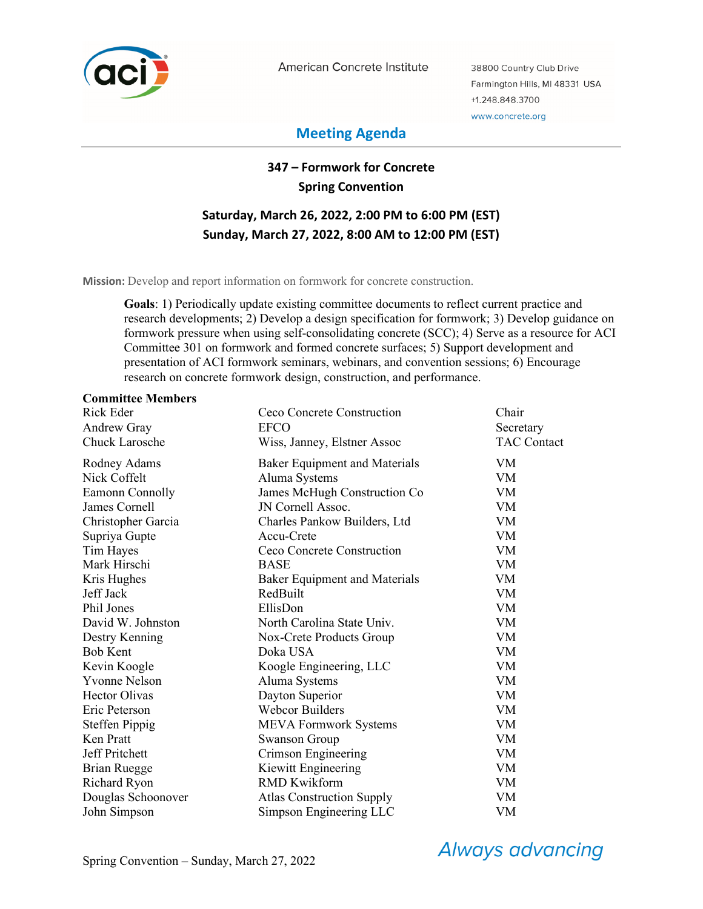

American Concrete Institute

38800 Country Club Drive Farmington Hills, MI 48331 USA +1.248.848.3700 www.concrete.org

# **Meeting Agenda**

# **347 – Formwork for Concrete Spring Convention**

## **Saturday, March 26, 2022, 2:00 PM to 6:00 PM (EST) Sunday, March 27, 2022, 8:00 AM to 12:00 PM (EST)**

**Mission:** Develop and report information on formwork for concrete construction.

**Goals**: 1) Periodically update existing committee documents to reflect current practice and research developments; 2) Develop a design specification for formwork; 3) Develop guidance on formwork pressure when using self-consolidating concrete (SCC); 4) Serve as a resource for ACI Committee 301 on formwork and formed concrete surfaces; 5) Support development and presentation of ACI formwork seminars, webinars, and convention sessions; 6) Encourage research on concrete formwork design, construction, and performance.

| <b>Committee Members</b> |                                  |                    |
|--------------------------|----------------------------------|--------------------|
| Rick Eder                | Ceco Concrete Construction       | Chair              |
| Andrew Gray              | <b>EFCO</b>                      | Secretary          |
| <b>Chuck Larosche</b>    | Wiss, Janney, Elstner Assoc      | <b>TAC Contact</b> |
| Rodney Adams             | Baker Equipment and Materials    | VM                 |
| Nick Coffelt             | Aluma Systems                    | VM                 |
| Eamonn Connolly          | James McHugh Construction Co     | <b>VM</b>          |
| James Cornell            | JN Cornell Assoc.                | <b>VM</b>          |
| Christopher Garcia       | Charles Pankow Builders, Ltd     | VM                 |
| Supriya Gupte            | Accu-Crete                       | <b>VM</b>          |
| Tim Hayes                | Ceco Concrete Construction       | <b>VM</b>          |
| Mark Hirschi             | <b>BASE</b>                      | VM                 |
| Kris Hughes              | Baker Equipment and Materials    | VM                 |
| Jeff Jack                | RedBuilt                         | <b>VM</b>          |
| Phil Jones               | EllisDon                         | <b>VM</b>          |
| David W. Johnston        | North Carolina State Univ.       | VM                 |
| Destry Kenning           | Nox-Crete Products Group         | <b>VM</b>          |
| <b>Bob Kent</b>          | Doka USA                         | <b>VM</b>          |
| Kevin Koogle             | Koogle Engineering, LLC          | VM                 |
| <b>Yvonne Nelson</b>     | Aluma Systems                    | VM                 |
| <b>Hector Olivas</b>     | Dayton Superior                  | VM                 |
| Eric Peterson            | <b>Webcor Builders</b>           | <b>VM</b>          |
| <b>Steffen Pippig</b>    | <b>MEVA Formwork Systems</b>     | VM                 |
| Ken Pratt                | Swanson Group                    | <b>VM</b>          |
| Jeff Pritchett           | Crimson Engineering              | VM                 |
| <b>Brian Ruegge</b>      | Kiewitt Engineering              | <b>VM</b>          |
| Richard Ryon             | <b>RMD Kwikform</b>              | VM                 |
| Douglas Schoonover       | <b>Atlas Construction Supply</b> | VM                 |
| John Simpson             | Simpson Engineering LLC          | VM                 |

**Always advancing**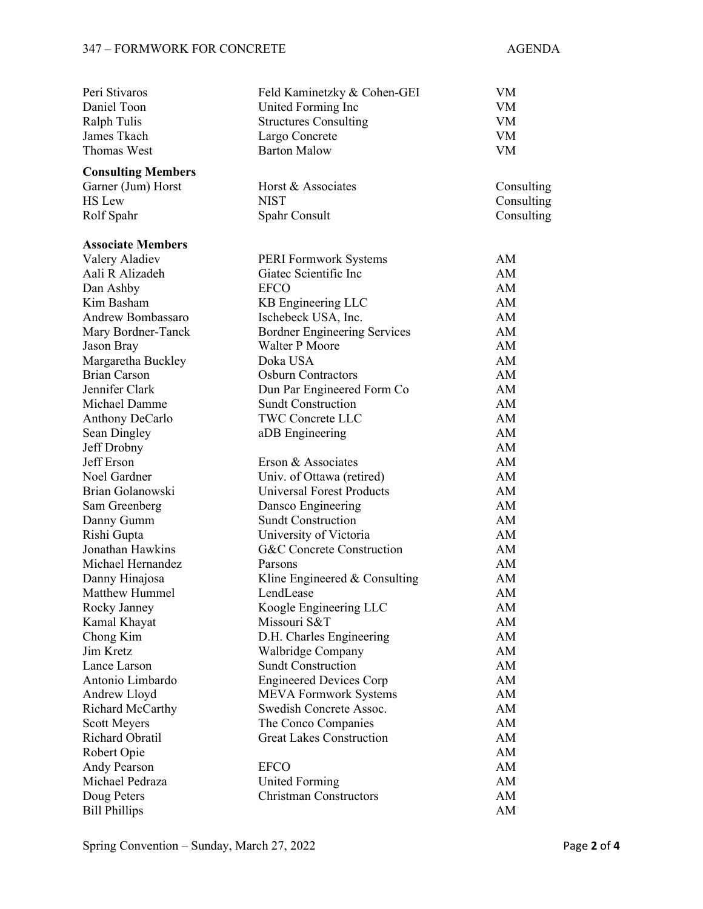## 347 – FORMWORK FOR CONCRETE AGENDA

| Peri Stivaros             | Feld Kaminetzky & Cohen-GEI          | VM         |
|---------------------------|--------------------------------------|------------|
| Daniel Toon               | United Forming Inc                   | VM         |
| Ralph Tulis               | <b>Structures Consulting</b>         | <b>VM</b>  |
| James Tkach               | Largo Concrete                       | VM         |
| <b>Thomas West</b>        | <b>Barton Malow</b>                  | <b>VM</b>  |
| <b>Consulting Members</b> |                                      |            |
| Garner (Jum) Horst        | Horst & Associates                   | Consulting |
| <b>HS</b> Lew             | <b>NIST</b>                          | Consulting |
| Rolf Spahr                | Spahr Consult                        | Consulting |
| <b>Associate Members</b>  |                                      |            |
| Valery Aladiev            | <b>PERI Formwork Systems</b>         | AM         |
| Aali R Alizadeh           | Giatec Scientific Inc                | AM         |
| Dan Ashby                 | <b>EFCO</b>                          | AM         |
| Kim Basham                | KB Engineering LLC                   | AM         |
| Andrew Bombassaro         | Ischebeck USA, Inc.                  | AM         |
| Mary Bordner-Tanck        | <b>Bordner Engineering Services</b>  | AM         |
| Jason Bray                | Walter P Moore                       | AM         |
| Margaretha Buckley        | Doka USA                             | AM         |
| <b>Brian Carson</b>       | <b>Osburn Contractors</b>            | AM         |
| Jennifer Clark            | Dun Par Engineered Form Co           | AM         |
| Michael Damme             | <b>Sundt Construction</b>            | AM         |
| Anthony DeCarlo           | <b>TWC Concrete LLC</b>              | AM         |
| Sean Dingley              | aDB Engineering                      | AM         |
| Jeff Drobny               |                                      | AM         |
| <b>Jeff</b> Erson         | Erson & Associates                   | AM         |
| Noel Gardner              | Univ. of Ottawa (retired)            | AM         |
| Brian Golanowski          | <b>Universal Forest Products</b>     | AM         |
| Sam Greenberg             | Dansco Engineering                   | AM         |
| Danny Gumm                | <b>Sundt Construction</b>            | AM         |
| Rishi Gupta               | University of Victoria               | AM         |
| Jonathan Hawkins          | <b>G&amp;C</b> Concrete Construction | AM         |
| Michael Hernandez         | Parsons                              | AM         |
| Danny Hinajosa            | Kline Engineered $&$ Consulting      | AM         |
| <b>Matthew Hummel</b>     | LendLease                            | AM         |
| Rocky Janney              | Koogle Engineering LLC               | AM         |
| Kamal Khayat              | Missouri S&T                         | AM         |
| Chong Kim                 | D.H. Charles Engineering             | AM         |
| Jim Kretz                 | Walbridge Company                    | AM         |
| Lance Larson              | <b>Sundt Construction</b>            | AM         |
| Antonio Limbardo          | <b>Engineered Devices Corp</b>       | AM         |
| Andrew Lloyd              | <b>MEVA Formwork Systems</b>         | AM         |
| Richard McCarthy          | Swedish Concrete Assoc.              | AM         |
| <b>Scott Meyers</b>       | The Conco Companies                  | AM         |
| Richard Obratil           | <b>Great Lakes Construction</b>      | AM         |
| Robert Opie               |                                      | AM         |
| Andy Pearson              | <b>EFCO</b>                          | AM         |
| Michael Pedraza           | <b>United Forming</b>                | AM         |
| Doug Peters               | <b>Christman Constructors</b>        | AM         |
| <b>Bill Phillips</b>      |                                      | AM         |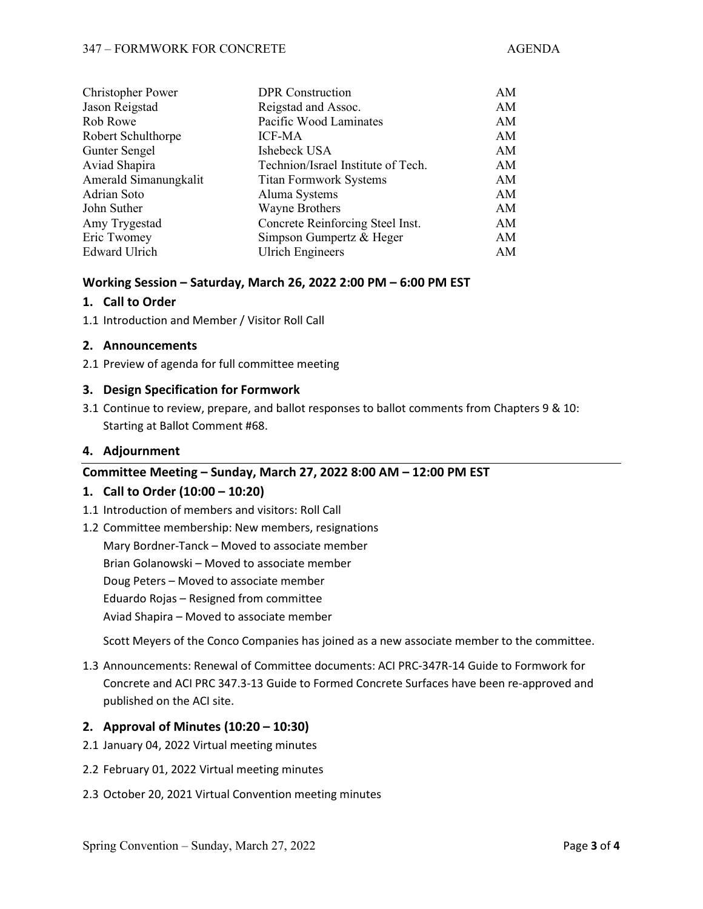#### 347 – FORMWORK FOR CONCRETE AGENDA

| <b>Christopher Power</b> | <b>DPR</b> Construction            | AM |
|--------------------------|------------------------------------|----|
| Jason Reigstad           | Reigstad and Assoc.                | AM |
| Rob Rowe                 | Pacific Wood Laminates             | AM |
| Robert Schulthorpe       | <b>ICF-MA</b>                      | AM |
| <b>Gunter Sengel</b>     | Ishebeck USA                       | AM |
| Aviad Shapira            | Technion/Israel Institute of Tech. | AM |
| Amerald Simanungkalit    | <b>Titan Formwork Systems</b>      | AM |
| Adrian Soto              | Aluma Systems                      | AM |
| John Suther              | <b>Wayne Brothers</b>              | AM |
| Amy Trygestad            | Concrete Reinforcing Steel Inst.   | AM |
| Eric Twomey              | Simpson Gumpertz & Heger           | AM |
| <b>Edward Ulrich</b>     | <b>Ulrich Engineers</b>            | AM |

## **Working Session – Saturday, March 26, 2022 2:00 PM – 6:00 PM EST**

## **1. Call to Order**

1.1 Introduction and Member / Visitor Roll Call

#### **2. Announcements**

2.1 Preview of agenda for full committee meeting

#### **3. Design Specification for Formwork**

3.1 Continue to review, prepare, and ballot responses to ballot comments from Chapters 9 & 10: Starting at Ballot Comment #68.

#### **4. Adjournment**

## **Committee Meeting – Sunday, March 27, 2022 8:00 AM – 12:00 PM EST**

## **1. Call to Order (10:00 – 10:20)**

- 1.1 Introduction of members and visitors: Roll Call
- 1.2 Committee membership: New members, resignations

Mary Bordner-Tanck – Moved to associate member

Brian Golanowski – Moved to associate member

Doug Peters – Moved to associate member

Eduardo Rojas – Resigned from committee

Aviad Shapira – Moved to associate member

Scott Meyers of the Conco Companies has joined as a new associate member to the committee.

1.3 Announcements: Renewal of Committee documents: ACI PRC-347R-14 Guide to Formwork for Concrete and ACI PRC 347.3-13 Guide to Formed Concrete Surfaces have been re-approved and published on the ACI site.

#### **2. Approval of Minutes (10:20 – 10:30)**

- 2.1 January 04, 2022 Virtual meeting minutes
- 2.2 February 01, 2022 Virtual meeting minutes
- 2.3 October 20, 2021 Virtual Convention meeting minutes